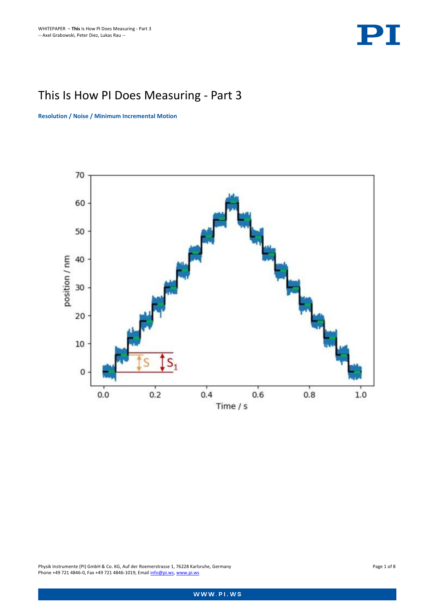

# This Is How PI Does Measuring - Part 3

**Resolution / Noise / Minimum Incremental Motion**



Physik Instrumente (PI) GmbH & Co. KG, Auf der Roemerstrasse 1, 76228 Karlsruhe, Germany Page 1 of 8 Phone +49 721 4846-0, Fax +49 721 4846-1019, Email **info@pi.ws**, [www.pi.ws](http://www.pi.ws/)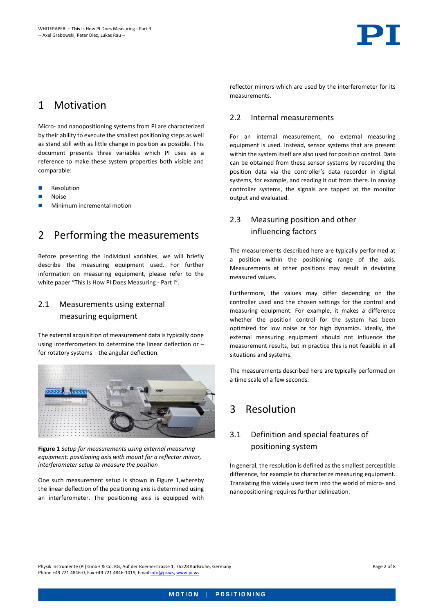## 1 Motivation

Micro- and nanopositioning systems from PI are characterized by their ability to execute the smallest positioning steps as well as stand still with as little change in position as possible. This document presents three variables which PI uses as a reference to make these system properties both visible and comparable:

- Resolution
- **Noise**
- <span id="page-1-1"></span>Minimum incremental motion

## 2 Performing the measurements

Before presenting the individual variables, we will briefly describe the measuring equipment used. For further information on measuring equipment, please refer to the white paper ["This Is How PI Does Measuring](https://www.physikinstrumente.de/fileadmin/user_upload/physik_instrumente/files/WP/PI-WP4011E-Measuring-Environment.pdf) - Part I".

### 2.1 Measurements using external measuring equipment

The external acquisition of measurement data is typically done using interferometers to determine the linear deflection or – for rotatory systems – the angular deflection.



**Figure 1** S*etup for measurements using external measuring equipment: positioning axis with mount for a reflector mirror, interferometer setup to measure the position*

<span id="page-1-0"></span>One such measurement setup is shown in [Figure 1,w](#page-1-0)hereby the linear deflection of the positioning axis is determined using an interferometer. The positioning axis is equipped with

reflector mirrors which are used by the interferometer for its measurements.

#### 2.2 Internal measurements

For an internal measurement, no external measuring equipment is used. Instead, sensor systems that are present within the system itself are also used for position control. Data can be obtained from these sensor systems by recording the position data via the controller's data recorder in digital systems, for example, and reading it out from there. In analog controller systems, the signals are tapped at the monitor output and evaluated.

### 2.3 Measuring position and other influencing factors

The measurements described here are typically performed at a position within the positioning range of the axis. Measurements at other positions may result in deviating measured values.

Furthermore, the values may differ depending on the controller used and the chosen settings for the control and measuring equipment. For example, it makes a difference whether the position control for the system has been optimized for low noise or for high dynamics. Ideally, the external measuring equipment should not influence the measurement results, but in practice this is not feasible in all situations and systems.

The measurements described here are typically performed on a time scale of a few seconds.

## <span id="page-1-2"></span>3 Resolution

### 3.1 Definition and special features of positioning system

In general, the resolution is defined as the smallest perceptible difference, for example to characterize measuring equipment. Translating this widely used term into the world of micro- and nanopositioning requires further delineation.

Physik Instrumente (PI) GmbH & Co. KG, Auf der Roemerstrasse 1, 76228 Karlsruhe, Germany Page 2 of 8 Phone +49 721 4846-0, Fax +49 721 4846-1019, Emai[l info@pi.ws,](mailto:info@pi.ws) [www.pi.ws](http://www.pi.ws/)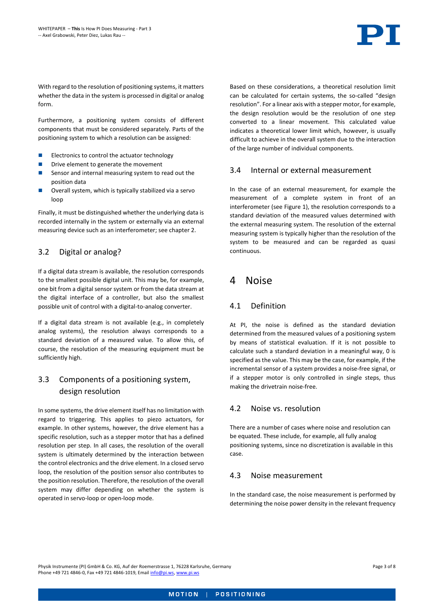

With regard to the resolution of positioning systems, it matters whether the data in the system is processed in digital or analog form.

Furthermore, a positioning system consists of different components that must be considered separately. Parts of the positioning system to which a resolution can be assigned:

- ◼ Electronics to control the actuator technology
- Drive element to generate the movement
- Sensor and internal measuring system to read out the position data
- Overall system, which is typically stabilized via a servo loop

Finally, it must be distinguished whether the underlying data is recorded internally in the system or externally via an external measuring device such as an interferometer; see chapte[r 2.](#page-1-1)

#### 3.2 Digital or analog?

If a digital data stream is available, the resolution corresponds to the smallest possible digital unit. This may be, for example, one bit from a digital sensor system or from the data stream at the digital interface of a controller, but also the smallest possible unit of control with a digital-to-analog converter.

If a digital data stream is not available (e.g., in completely analog systems), the resolution always corresponds to a standard deviation of a measured value. To allow this, of course, the resolution of the measuring equipment must be sufficiently high.

### 3.3 Components of a positioning system, design resolution

In some systems, the drive element itself has no limitation with regard to triggering. This applies to piezo actuators, for example. In other systems, however, the drive element has a specific resolution, such as a stepper motor that has a defined resolution per step. In all cases, the resolution of the overall system is ultimately determined by the interaction between the control electronics and the drive element. In a closed servo loop, the resolution of the position sensor also contributes to the position resolution. Therefore, the resolution of the overall system may differ depending on whether the system is operated in servo-loop or open-loop mode.

Based on these considerations, a theoretical resolution limit can be calculated for certain systems, the so-called "design resolution". For a linear axis with a stepper motor, for example, the design resolution would be the resolution of one step converted to a linear movement. This calculated value indicates a theoretical lower limit which, however, is usually difficult to achieve in the overall system due to the interaction of the large number of individual components.

#### 3.4 Internal or external measurement

In the case of an external measurement, for example the measurement of a complete system in front of an interferometer (see [Figure 1\)](#page-1-0), the resolution corresponds to a standard deviation of the measured values determined with the external measuring system. The resolution of the external measuring system is typically higher than the resolution of the system to be measured and can be regarded as quasi continuous.

## 4 Noise

#### 4.1 Definition

At PI, the noise is defined as the standard deviation determined from the measured values of a positioning system by means of statistical evaluation. If it is not possible to calculate such a standard deviation in a meaningful way, 0 is specified as the value. This may be the case, for example, if the incremental sensor of a system provides a noise-free signal, or if a stepper motor is only controlled in single steps, thus making the drivetrain noise-free.

#### 4.2 Noise vs. resolution

There are a number of cases where noise and resolution can be equated. These include, for example, all fully analog positioning systems, since no discretization is available in this case.

#### 4.3 Noise measurement

In the standard case, the noise measurement is performed by determining the noise power density in the relevant frequency

Physik Instrumente (PI) GmbH & Co. KG, Auf der Roemerstrasse 1, 76228 Karlsruhe, Germany Page 3 of 8 Phone +49 721 4846-0, Fax +49 721 4846-1019, Emai[l info@pi.ws,](mailto:info@pi.ws) [www.pi.ws](http://www.pi.ws/)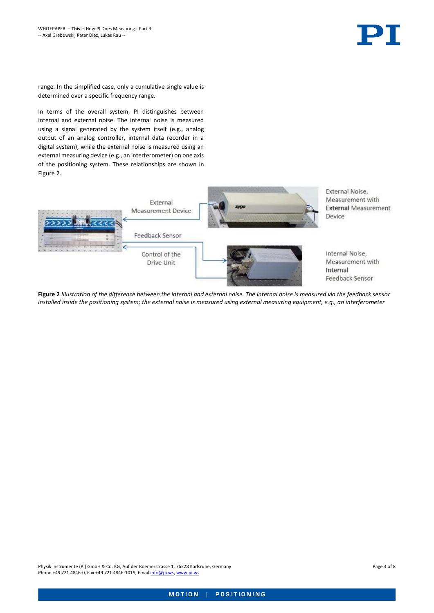range. In the simplified case, only a cumulative single value is determined over a specific frequency range.

In terms of the overall system, PI distinguishes between internal and external noise. The internal noise is measured using a signal generated by the system itself (e.g., analog output of an analog controller, internal data recorder in a digital system), while the external noise is measured using an external measuring device (e.g., an interferometer) on one axis of the positioning system. These relationships are shown in [Figure 2.](#page-3-0)

<span id="page-3-0"></span>

**Figure 2** *Illustration of the difference between the internal and external noise. The internal noise is measured via the feedback sensor installed inside the positioning system; the external noise is measured using external measuring equipment, e.g., an interferometer*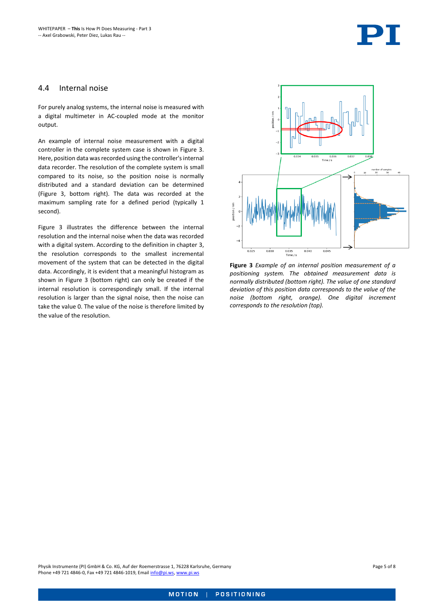

#### 4.4 Internal noise

For purely analog systems, the internal noise is measured with a digital multimeter in AC-coupled mode at the monitor output.

An example of internal noise measurement with a digital controller in the complete system case is shown in [Figure 3.](#page-4-0) Here, position data was recorded using the controller's internal data recorder. The resolution of the complete system is small compared to its noise, so the position noise is normally distributed and a standard deviation can be determined [\(Figure 3,](#page-4-0) bottom right). The data was recorded at the maximum sampling rate for a defined period (typically 1 second).

[Figure 3](#page-4-0) illustrates the difference between the internal resolution and the internal noise when the data was recorded with a digital system. According to the definition in chapter [3,](#page-1-2) the resolution corresponds to the smallest incremental movement of the system that can be detected in the digital data. Accordingly, it is evident that a meaningful histogram as shown in [Figure 3](#page-4-0) (bottom right) can only be created if the internal resolution is correspondingly small. If the internal resolution is larger than the signal noise, then the noise can take the value 0. The value of the noise is therefore limited by the value of the resolution.



<span id="page-4-0"></span>**Figure 3** *Example of an internal position measurement of a positioning system. The obtained measurement data is normally distributed (bottom right). The value of one standard deviation of this position data corresponds to the value of the noise (bottom right, orange). One digital increment corresponds to the resolution (top).*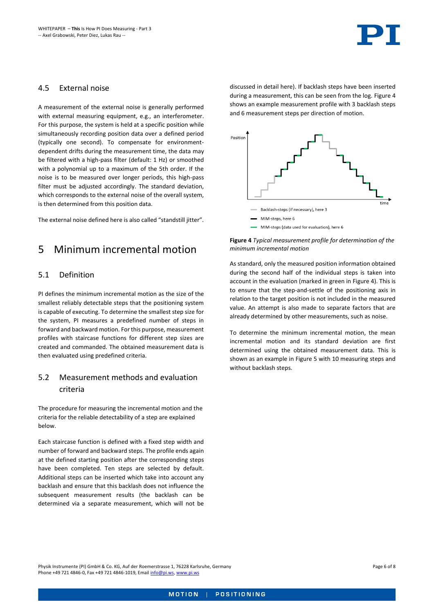#### 4.5 External noise

A measurement of the external noise is generally performed with external measuring equipment, e.g., an interferometer. For this purpose, the system is held at a specific position while simultaneously recording position data over a defined period (typically one second). To compensate for environmentdependent drifts during the measurement time, the data may be filtered with a high-pass filter (default: 1 Hz) or smoothed with a polynomial up to a maximum of the 5th order. If the noise is to be measured over longer periods, this high-pass filter must be adjusted accordingly. The standard deviation, which corresponds to the external noise of the overall system, is then determined from this position data.

The external noise defined here is also called "standstill jitter".

## 5 Minimum incremental motion

#### 5.1 Definition

PI defines the minimum incremental motion as the size of the smallest reliably detectable steps that the positioning system is capable of executing. To determine the smallest step size for the system, PI measures a predefined number of steps in forward and backward motion. For this purpose, measurement profiles with staircase functions for different step sizes are created and commanded. The obtained measurement data is then evaluated using predefined criteria.

### 5.2 Measurement methods and evaluation criteria

The procedure for measuring the incremental motion and the criteria for the reliable detectability of a step are explained below.

Each staircase function is defined with a fixed step width and number of forward and backward steps. The profile ends again at the defined starting position after the corresponding steps have been completed. Ten steps are selected by default. Additional steps can be inserted which take into account any backlash and ensure that this backlash does not influence the subsequent measurement results (the backlash can be determined via a separate measurement, which will not be

discussed in detail here). If backlash steps have been inserted during a measurement, this can be seen from the log[. Figure 4](#page-5-0) shows an example measurement profile with 3 backlash steps and 6 measurement steps per direction of motion.



<span id="page-5-0"></span>

As standard, only the measured position information obtained during the second half of the individual steps is taken into account in the evaluation (marked in green in [Figure 4\)](#page-5-0). This is to ensure that the step-and-settle of the positioning axis in relation to the target position is not included in the measured value. An attempt is also made to separate factors that are already determined by other measurements, such as noise.

To determine the minimum incremental motion, the mean incremental motion and its standard deviation are first determined using the obtained measurement data. This is shown as an example i[n Figure 5](#page-6-0) with 10 measuring steps and without backlash steps.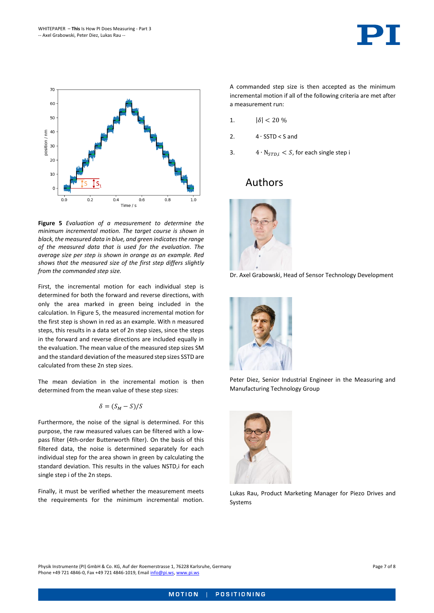

<span id="page-6-0"></span>**Figure 5** *Evaluation of a measurement to determine the minimum incremental motion. The target course is shown in black, the measured data in blue, and green indicates the range of the measured data that is used for the evaluation. The average size per step is shown in orange as an example. Red shows that the measured size of the first step differs slightly from the commanded step size.*

First, the incremental motion for each individual step is determined for both the forward and reverse directions, with only the area marked in green being included in the calculation. In [Figure 5,](#page-6-0) the measured incremental motion for the first step is shown in red as an example. With n measured steps, this results in a data set of 2n step sizes, since the steps in the forward and reverse directions are included equally in the evaluation. The mean value of the measured step sizes SM and the standard deviation of the measured step sizes SSTD are calculated from these 2n step sizes.

The mean deviation in the incremental motion is then determined from the mean value of these step sizes:

$$
\delta=(S_M-S)/S
$$

Furthermore, the noise of the signal is determined. For this purpose, the raw measured values can be filtered with a lowpass filter (4th-order Butterworth filter). On the basis of this filtered data, the noise is determined separately for each individual step for the area shown in green by calculating the standard deviation. This results in the values NSTD,i for each single step i of the 2n steps.

Finally, it must be verified whether the measurement meets the requirements for the minimum incremental motion.

A commanded step size is then accepted as the minimum incremental motion if all of the following criteria are met after a measurement run:

- 1.  $|\delta| < 20 \%$
- 2. 4 ∙ SSTD < S and
- 3.  $4 \cdot N_{STD.i} < S$ , for each single step i

## Authors



Dr. Axel Grabowski, Head of Sensor Technology Development



Peter Diez, Senior Industrial Engineer in the Measuring and Manufacturing Technology Group



Lukas Rau, Product Marketing Manager for Piezo Drives and Systems

Physik Instrumente (PI) GmbH & Co. KG, Auf der Roemerstrasse 1, 76228 Karlsruhe, Germany Page 7 of 8 Phone +49 721 4846-0, Fax +49 721 4846-1019, Emai[l info@pi.ws,](mailto:info@pi.ws) [www.pi.ws](http://www.pi.ws/)